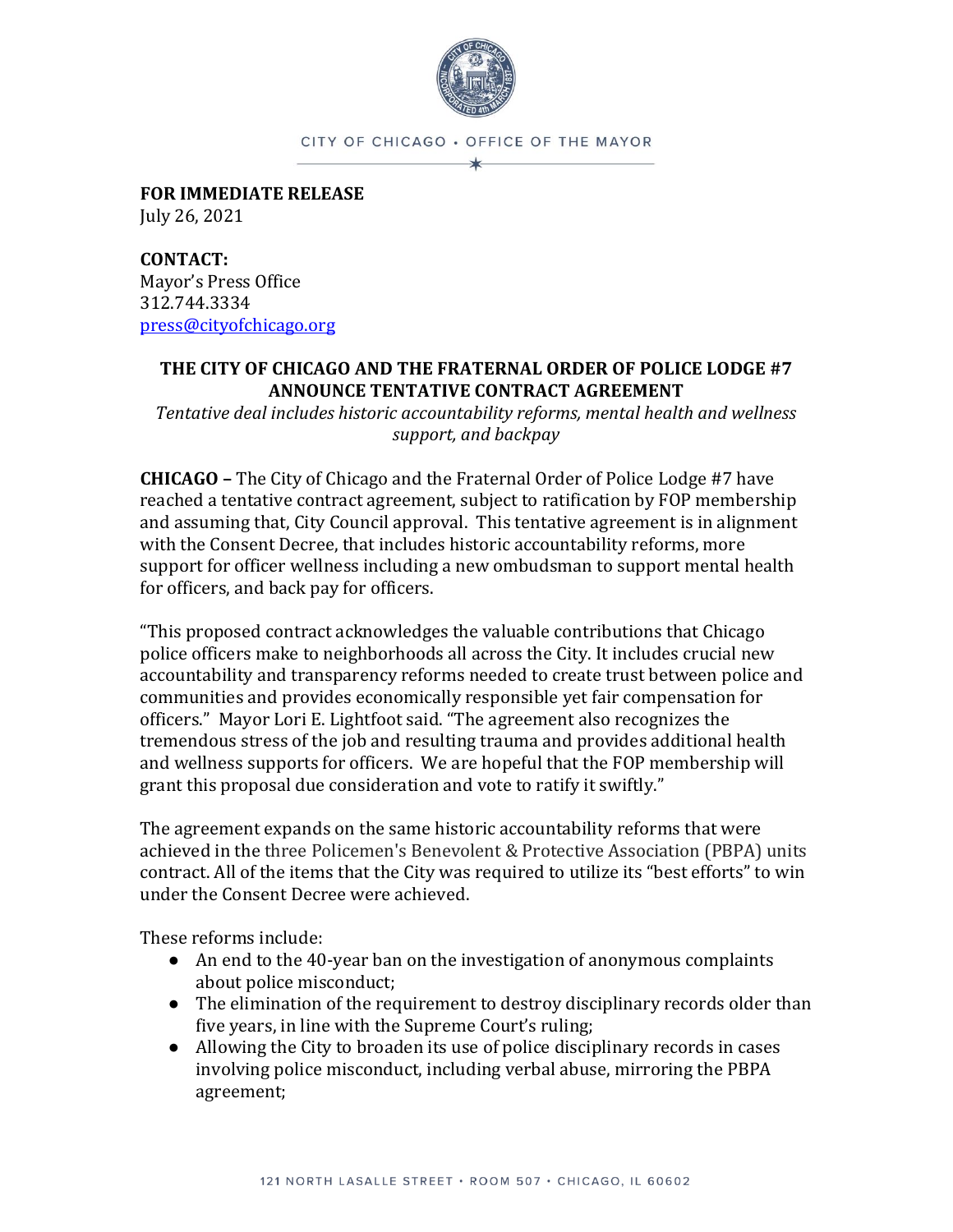

CITY OF CHICAGO . OFFICE OF THE MAYOR

**FOR IMMEDIATE RELEASE** July 26, 2021

**CONTACT:** Mayor's Press Office 312.744.3334 [press@cityofchicago.org](mailto:press@cityofchicago.org)

## **THE CITY OF CHICAGO AND THE FRATERNAL ORDER OF POLICE LODGE #7 ANNOUNCE TENTATIVE CONTRACT AGREEMENT**

*Tentative deal includes historic accountability reforms, mental health and wellness support, and backpay*

**CHICAGO –** The City of Chicago and the Fraternal Order of Police Lodge #7 have reached a tentative contract agreement, subject to ratification by FOP membership and assuming that, City Council approval. This tentative agreement is in alignment with the Consent Decree, that includes historic accountability reforms, more support for officer wellness including a new ombudsman to support mental health for officers, and back pay for officers.

"This proposed contract acknowledges the valuable contributions that Chicago police officers make to neighborhoods all across the City. It includes crucial new accountability and transparency reforms needed to create trust between police and communities and provides economically responsible yet fair compensation for officers." Mayor Lori E. Lightfoot said. "The agreement also recognizes the tremendous stress of the job and resulting trauma and provides additional health and wellness supports for officers. We are hopeful that the FOP membership will grant this proposal due consideration and vote to ratify it swiftly."

The agreement expands on the same historic accountability reforms that were achieved in the three Policemen's Benevolent & Protective Association (PBPA) units contract. All of the items that the City was required to utilize its "best efforts" to win under the Consent Decree were achieved.

These reforms include:

- An end to the 40-year ban on the investigation of anonymous complaints about police misconduct;
- The elimination of the requirement to destroy disciplinary records older than five years, in line with the Supreme Court's ruling;
- Allowing the City to broaden its use of police disciplinary records in cases involving police misconduct, including verbal abuse, mirroring the PBPA agreement;